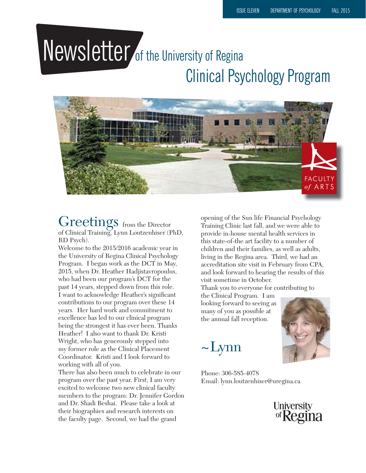# Newsletter of the University of Regina Clinical Psychology Program



#### Greetings from the Director of Clinical Training, Lynn Loutzenhiser (PhD, RD Psych).

Welcome to the 2015/2016 academic year in the University of Regina Clinical Psychology Program. I began work as the DCT in May, 2015, when Dr. Heather Hadjistavropoulus, who had been our program's DCT for the past 14 years, stepped down from this role. I want to acknowledge Heather's significant contributions to our program over these 14 years. Her hard work and commitment to excellence has led to our clinical program being the strongest it has ever been. Thanks Heather! I also want to thank Dr. Kristi Wright, who has generously stepped into my former role as the Clinical Placement Coordinator. Kristi and I look forward to working with all of you.

There has also been much to celebrate in our program over the past year. First, I am very excited to welcome two new clinical faculty members to the program: Dr. Jennifer Gordon and Dr. Shadi Beshai. Please take a look at their biographies and research interests on the faculty page. Second, we had the grand

opening of the Sun life Financial Psychology Training Clinic last fall, and we were able to provide in-house mental health services in this state-of-the art facility to a number of children and their families, as well as adults, living in the Regina area. Third, we had an accreditation site visit in February from CPA, and look forward to hearing the results of this visit sometime in October.

Thank you to everyone for contributing to

the Clinical Program. I am looking forward to seeing as many of you as possible at the annual fall reception.

 $\sim$ Lynn



Phone: 306-585-4078 Email: lynn.loutzenhiser@uregina.ca

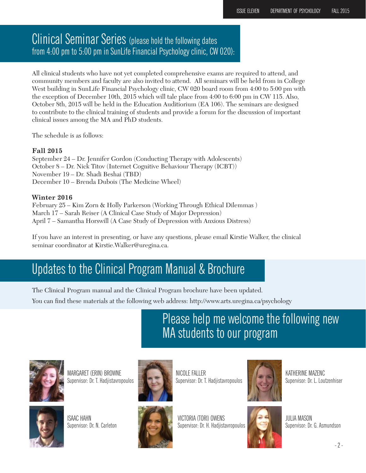### Clinical Seminar Series (please hold the following dates from 4:00 pm to 5:00 pm in SunLife Financial Psychology clinic, CW 020):

All clinical students who have not yet completed comprehensive exams are required to attend, and community members and faculty are also invited to attend. All seminars will be held from in College West building in SunLife Financial Psychology clinic, CW 020 board room from 4:00 to 5:00 pm with the exception of December 10th, 2015 which will tale place from 4:00 to 6:00 pm in CW 115. Also, October 8th, 2015 will be held in the Education Auditiorium (EA 106). The seminars are designed to contribute to the clinical training of students and provide a forum for the discussion of important clinical issues among the MA and PhD students.

The schedule is as follows:

#### **Fall 2015**

September 24 – Dr. Jennifer Gordon (Conducting Therapy with Adolescents) October 8 – Dr. Nick Titov (Internet Cognitive Behaviour Therapy (ICBT)) November 19 – Dr. Shadi Beshai (TBD) December 10 – Brenda Dubois (The Medicine Wheel)

#### **Winter 2016**

February 25 – Kim Zorn & Holly Parkerson (Working Through Ethical Dilemmas ) March 17 – Sarah Reiser (A Clinical Case Study of Major Depression) April 7 – Samantha Horswill (A Case Study of Depression with Anxious Distress)

If you have an interest in presenting, or have any questions, please email Kirstie Walker, the clinical seminar coordinator at Kirstie.Walker@uregina.ca.

### Updates to the Clinical Program Manual & Brochure

The Clinical Program manual and the Clinical Program brochure have been updated.

You can find these materials at the following web address: http://www.arts.uregina.ca/psychology

Please help me welcome the following new MA students to our program



MARGARET (ERIN) BROWNE Supervisor: Dr. T. Hadjistavropoulos



ISAAC HAHN Supervisor: Dr. N. Carleton



NICOLE FALLER Supervisor: Dr. T. Hadjistavropoulos





VICTORIA (TORI) OWENS Supervisor: Dr. H. Hadjistavropoulos



JULIA MASON Supervisor: Dr. G. Asmundson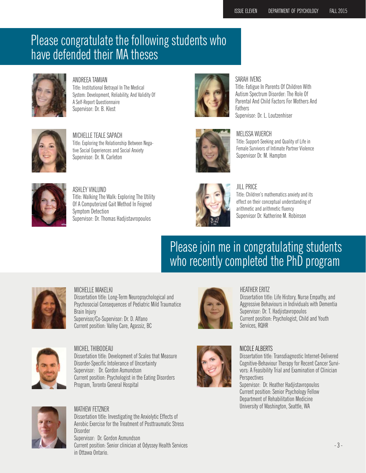### Please congratulate the following students who have defended their MA theses



ANDREEA TAMIAN Title: Institutional Betrayal In The Medical System: Development, Reliability, And Validity Of A Self-Report Questionnaire Supervisor: Dr. B. Klest



#### SARAH IVENS

Title: Fatigue In Parents Of Children With Autism Spectrum Disorder: The Role Of Parental And Child Factors For Mothers And **Fathers** Supervisor: Dr. L. Loutzenhiser



MICHELLE TEALE SAPACH Title: Exploring the Relationship Between Negative Social Experiences and Social Anxiety Supervisor: Dr. N. Carleton



#### MELISSA WUERCH

Title: Support-Seeking and Quality of Life in Female Survivors of Intimate Partner Violence Supervisor Dr. M. Hampton



ASHLEY VIKLUND Title: Walking The Walk: Exploring The Utility Of A Computerized Gait Method In Feigned Symptom Detection Supervisor: Dr. Thomas Hadjistavropoulos



#### JILL PRICE

Title: Children's mathematics anxiety and its effect on their conceptual understanding of arithmetic and arithmetic fluency Supervisor Dr. Katherine M. Robinson

### Please join me in congratulating students who recently completed the PhD program



#### MICHELLE MAKELKI

Dissertation title: Long-Term Neuropsychological and Psychosocial Consequences of Pediatric Mild Traumatice Brain Injury Supervisor/Co-Supervisor: Dr. D. Alfano Current position: Valley Care, Agassiz, BC



MICHEL THIBODEAU Dissertation title: Development of Scales that Measure Disorder-Specific Intolerance of Uncertainty Supervisor: Dr. Gordon Asmundson Current position: Psychologist in the Eating Disorders Program, Toronto General Hospital



#### MATHEW FETZNER

Dissertation title: Investigating the Anxiolytic Effects of Aerobic Exercise for the Treatment of Posttraumatic Stress Disorder

Supervisor: Dr. Gordon Asmundson Current position: Senior clinician at Odyssey Health Services in Ottawa Ontario.



#### HEATHER ERITZ

Dissertation title: Life History, Nurse Empathy, and Aggressive Behaviours in Individuals with Dementia Supervisor: Dr. T. Hadjistavropoulos Current position: Psychologist, Child and Youth Services, RQHR



#### NICOLE ALBERTS

Dissertation title: Transdiagnostic Internet-Delivered Cognitive-Behaviour Therapy for Recent Cancer Survivors: A Feasibility Trial and Examination of Clinician Perspectives

Supervisor: Dr. Heather Hadjistavropoulos Current position: Senior Psychology Fellow Department of Rehabilitation Medicine University of Washington, Seattle, WA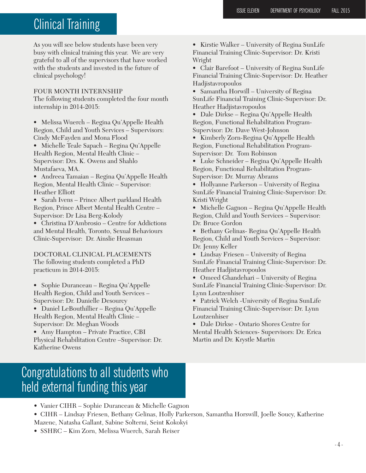## Clinical Training

As you will see below students have been very busy with clinical training this year. We are very grateful to all of the supervisors that have worked with the students and invested in the future of clinical psychology!

#### FOUR MONTH INTERNSHIP

The following students completed the four month internship in 2014-2015:

• Melissa Wuerch – Regina Qu'Appelle Health Region, Child and Youth Services – Supervisors: Cindy McFayden and Mona Flood

• Michelle Teale Sapach – Regina Qu'Appelle Health Region, Mental Health Clinic – Supervisor: Drs. K. Owens and Shahlo Mustafaeva, MA.

• Andreea Tamaian – Regina Qu'Appelle Health Region, Mental Health Clinic – Supervisor: Heather Elliott

• Sarah Ivens – Prince Albert parkland Health Region, Prince Albert Mental Health Centre – Supervisor: Dr Lisa Berg-Kolody

• Christina D'Ambrosio – Centre for Addictions and Mental Health, Toronto, Sexual Behaviours Clinic-Supervisor: Dr. Ainslie Heasman

DOCTORAL CLINICAL PLACEMENTS The following students completed a PhD practicum in 2014-2015:

• Sophie Duranceau – Regina Qu'Appelle Health Region, Child and Youth Services – Supervisor: Dr. Danielle Desourcy

• Daniel LeBouthillier – Regina Qu'Appelle Health Region, Mental Health Clinic – Supervisor: Dr. Meghan Woods

• Amy Hampton – Private Practice, CBI Physical Rehabilitation Centre –Supervisor: Dr. Katherine Owens

• Kirstie Walker – University of Regina SunLife Financial Training Clinic-Supervisor: Dr. Kristi Wright

• Clair Barefoot – University of Regina SunLife Financial Training Clinic-Supervisor: Dr. Heather Hadjistavropoulos

• Samantha Horwill – University of Regina SunLife Financial Training Clinic-Supervisor: Dr. Heather Hadjistavropoulos

• Dale Dirkse – Regina Qu'Appelle Health Region, Functional Rehabilitation Program-Supervisor: Dr. Dave West-Johnson

• Kimberly Zorn-Regina Qu'Appelle Health Region, Functional Rehabilitation Program-Supervisor: Dr. Tom Robinson

• Luke Schneider – Regina Qu'Appelle Health Region, Functional Rehabilitation Program-Supervisor: Dr. Murray Abrams

• Hollyanne Parkerson – University of Regina SunLife Financial Training Clinic-Supervisor: Dr. Kristi Wright

• Michelle Gagnon – Regina Qu'Appelle Health Region, Child and Youth Services – Supervisor: Dr. Bruce Gordon

• Bethany Gelinas- Regina Qu'Appelle Health Region, Child and Youth Services – Supervisor: Dr. Jenny Keller

• Lindsay Friesen – University of Regina SunLife Financial Training Clinic-Supervisor: Dr. Heather Hadjistavropoulos

• Omeed Ghandehari – University of Regina SunLife Financial Training Clinic-Supervisor: Dr. Lynn Loutzenhiser

• Patrick Welch -University of Regina SunLife Financial Training Clinic-Supervisor: Dr. Lynn Loutzenhiser

• Dale Dirkse - Ontario Shores Centre for Mental Health Sciences- Supervisors: Dr. Erica Martin and Dr. Krystle Martin

### Congratulations to all students who held external funding this year

- Vanier CIHR Sophie Duranceau & Michelle Gagnon
- CIHR Lindsay Friesen, Bethany Gelinas, Holly Parkerson, Samantha Horswill, Joelle Soucy, Katherine
- Mazenc, Natasha Gallant, Sabine Solterni, Seint Kokokyi
- SSHRC Kim Zorn, Melissa Wuerch, Sarah Reiser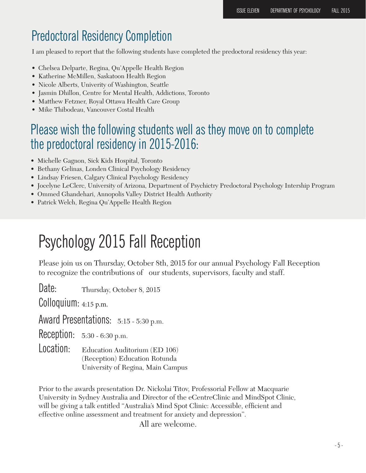### Predoctoral Residency Completion

I am pleased to report that the following students have completed the predoctoral residency this year:

- Chelsea Delparte, Regina, Qu'Appelle Health Region
- Katherine McMillen, Saskatoon Health Region
- Nicole Alberts, Univerity of Washington, Seattle
- Jasmin Dhillon, Centre for Mental Health, Addictions, Toronto
- Matthew Fetzner, Royal Ottawa Health Care Group
- Mike Thibodeau, Vancouver Costal Health

### Please wish the following students well as they move on to complete the predoctoral residency in 2015-2016:

- Michelle Gagnon, Sick Kids Hospital, Toronto
- Bethany Gelinas, Londen Clinical Psychology Residency
- Lindsay Friesen, Calgary Clinical Psychology Residency
- Jocelyne LeClerc, University of Arizona, Department of Psychictry Predoctoral Psychology Intership Program
- Ommed Ghandehari, Annopolis Valley District Health Authority
- Patrick Welch, Regina Qu'Appelle Health Region

# Psychology 2015 Fall Reception

Please join us on Thursday, October 8th, 2015 for our annual Psychology Fall Reception to recognize the contributions of our students, supervisors, faculty and staff.

Date: Thursday, October 8, 2015

Colloquium: 4:15 p.m.

Award Presentations:  $5:15 - 5:30$  p.m.

Reception: 5:30 - 6:30 p.m.

Location: Education Auditorium (ED 106) (Reception) Education Rotunda University of Regina, Main Campus

Prior to the awards presentation Dr. Nickolai Titov, Professorial Fellow at Macquarie University in Sydney Australia and Director of the eCentreClinic and MindSpot Clinic, will be giving a talk entitled "Australia's Mind Spot Clinic: Accessible, efficient and effective online assessment and treatment for anxiety and depression".

All are welcome.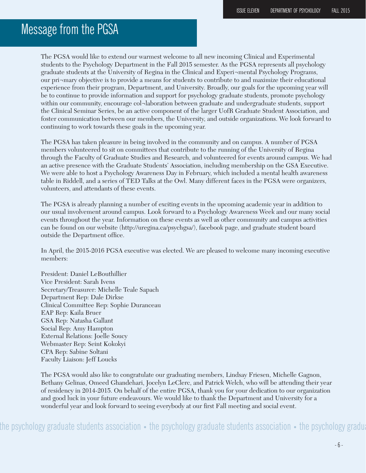### Message from the PGSA

The PGSA would like to extend our warmest welcome to all new incoming Clinical and Experimental students to the Psychology Department in the Fall 2015 semester. As the PGSA represents all psychology graduate students at the University of Regina in the Clinical and Experi¬mental Psychology Programs, our pri¬mary objective is to provide a means for students to contribute to and maximize their educational experience from their program, Department, and University. Broadly, our goals for the upcoming year will be to continue to provide information and support for psychology graduate students, promote psychology within our community, encourage col¬laboration between graduate and undergraduate students, support the Clinical Seminar Series, be an active component of the larger UofR Graduate Student Association, and foster communication between our members, the University, and outside organizations. We look forward to continuing to work towards these goals in the upcoming year.

The PGSA has taken pleasure in being involved in the community and on campus. A number of PGSA members volunteered to sit on committees that contribute to the running of the University of Regina through the Faculty of Graduate Studies and Research, and volunteered for events around campus. We had an active presence with the Graduate Students' Association, including membership on the GSA Executive. We were able to host a Psychology Awareness Day in February, which included a mental health awareness table in Riddell, and a series of TED Talks at the Owl. Many different faces in the PGSA were organizers, volunteers, and attendants of these events.

The PGSA is already planning a number of exciting events in the upcoming academic year in addition to our usual involvement around campus. Look forward to a Psychology Awareness Week and our many social events throughout the year. Information on these events as well as other community and campus activities can be found on our website (http://uregina.ca/psychgsa/), facebook page, and graduate student board outside the Department office.

In April, the 2015-2016 PGSA executive was elected. We are pleased to welcome many incoming executive members:

President: Daniel LeBouthillier Vice President: Sarah Ivens Secretary/Treasurer: Michelle Teale Sapach Department Rep: Dale Dirkse Clinical Committee Rep: Sophie Duranceau EAP Rep: Kaila Bruer GSA Rep: Natasha Gallant Social Rep: Amy Hampton External Relations: Joelle Soucy Webmaster Rep: Seint Kokokyi CPA Rep: Sabine Soltani Faculty Liaison: Jeff Loucks

The PGSA would also like to congratulate our graduating members, Lindsay Friesen, Michelle Gagnon, Bethany Gelinas, Omeed Ghandehari, Jocelyn LeClerc, and Patrick Welch, who will be attending their year of residency in 2014-2015. On behalf of the entire PGSA, thank you for your dedication to our organization and good luck in your future endeavours. We would like to thank the Department and University for a wonderful year and look forward to seeing everybody at our first Fall meeting and social event.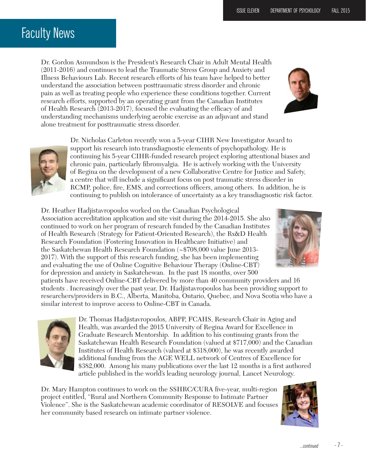## Faculty News

Dr. Gordon Asmundson is the President's Research Chair in Adult Mental Health (2011-2016) and continues to lead the Traumatic Stress Group and Anxiety and Illness Behaviours Lab. Recent research efforts of his team have helped to better understand the association between posttraumatic stress disorder and chronic pain as well as treating people who experience these conditions together. Current research efforts, supported by an operating grant from the Canadian Institutes of Health Research (2013-2017), focused the evaluating the efficacy of and understanding mechanisms underlying aerobic exercise as an adjuvant and stand alone treatment for posttraumatic stress disorder.

> Dr. Nicholas Carleton recently won a 5-year CIHR New Investigator Award to support his research into transdiagnostic elements of psychopathology. He is continuing his 5-year CIHR-funded research project exploring attentional biases and chronic pain, particularly fibromyalgia. He is actively working with the University of Regina on the development of a new Collaborative Centre for Justice and Safety, a centre that will include a significant focus on post traumatic stress disorder in RCMP, police, fire, EMS, and corrections officers, among others. In addition, he is continuing to publish on intolerance of uncertainty as a key transdiagnostic risk factor.

Dr. Heather Hadjistavropoulos worked on the Canadian Psychological Association accreditation application and site visit during the 2014-2015. She also continued to work on her program of research funded by the Canadian Institutes of Health Research (Strategy for Patient-Oriented Research), the Rx&D Health Research Foundation (Fostering Innovation in Healthcare Initiative) and the Saskatchewan Health Research Foundation (~\$708,000 value June 2013- 2017). With the support of this research funding, she has been implementing and evaluating the use of Online Cognitive Behaviour Therapy (Online-CBT) for depression and anxiety in Saskatchewan. In the past 18 months, over 500

patients have received Online-CBT delivered by more than 40 community providers and 16 students . Increasingly over the past year, Dr. Hadjistavropoulos has been providing support to researchers/providers in B.C., Alberta, Manitoba, Ontario, Quebec, and Nova Scotia who have a similar interest to improve access to Online-CBT in Canada.

> Dr. Thomas Hadjistavropoulos, ABPP, FCAHS, Research Chair in Aging and Health, was awarded the 2015 University of Regina Award for Excellence in Graduate Research Mentorship. In addition to his continuing grants from the Saskatchewan Health Research Foundation (valued at \$717,000) and the Canadian Institutes of Health Research (valued at \$318,000), he was recently awarded additional funding from the AGE WELL network of Centres of Excellence for \$382,000. Among his many publications over the last 12 months is a first authored article published in the world's leading neurology journal, Lancet Neurology.

Dr. Mary Hampton continues to work on the SSHRC/CURA five-year, multi-region project entitled, "Rural and Northern Community Response to Intimate Partner Violence". She is the Saskatchewan academic coordinator of RESOLVE and focuses her community based research on intimate partner violence.







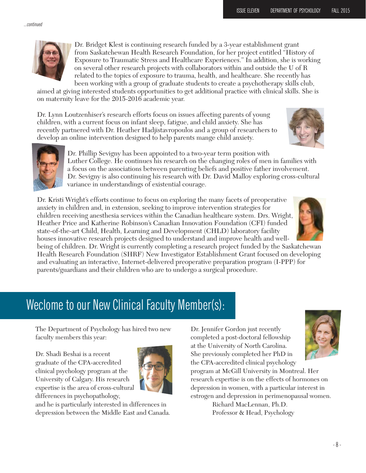...continued



Dr. Bridget Klest is continuing research funded by a 3-year establishment grant from Saskatchewan Health Research Foundation, for her project entitled "History of Exposure to Traumatic Stress and Healthcare Experiences." In addition, she is working on several other research projects with collaborators within and outside the U of R related to the topics of exposure to trauma, health, and healthcare. She recently has been working with a group of graduate students to create a psychotherapy skills club,

aimed at giving interested students opportunities to get additional practice with clinical skills. She is on maternity leave for the 2015-2016 academic year.

Dr. Lynn Loutzenhiser's research efforts focus on issues affecting parents of young children, with a current focus on infant sleep, fatigue, and child anxiety. She has recently partnered with Dr. Heather Hadjistavropoulos and a group of researchers to develop an online intervention designed to help parents mange child anxiety.





Dr. Phillip Sevigny has been appointed to a two-year term position with Luther College. He continues his research on the changing roles of men in families with a focus on the associations between parenting beliefs and positive father involvement. Dr. Sevigny is also continuing his research with Dr. David Malloy exploring cross-cultural variance in understandings of existential courage.

Dr. Kristi Wright's efforts continue to focus on exploring the many facets of preoperative anxiety in children and, in extension, seeking to improve intervention strategies for children receiving anesthesia services within the Canadian healthcare system. Drs. Wright, Heather Price and Katherine Robinson's Canadian Innovation Foundation (CFI) funded state-of-the-art Child, Health, Learning and Development (CHLD) laboratory facility houses innovative research projects designed to understand and improve health and well-

being of children. Dr. Wright is currently completing a research project funded by the Saskatchewan Health Research Foundation (SHRF) New Investigator Establishment Grant focused on developing and evaluating an interactive, Internet-delivered preoperative preparation program (I-PPP) for parents/guardians and their children who are to undergo a surgical procedure.

## Weclome to our New Clinical Faculty Member(s):

The Department of Psychology has hired two new faculty members this year:

Dr. Shadi Beshai is a recent graduate of the CPA-accredited clinical psychology program at the University of Calgary. His research expertise is the area of cross-cultural differences in psychopathology,



and he is particularly interested in differences in depression between the Middle East and Canada. Dr. Jennifer Gordon just recently completed a post-doctoral fellowship at the University of North Carolina. She previously completed her PhD in the CPA-accredited clinical psychology

program at McGill University in Montreal. Her research expertise is on the effects of hormones on depression in women, with a particular interest in estrogen and depression in perimenopausal women.

> Richard MacLennan, Ph.D. Professor & Head, Psychology

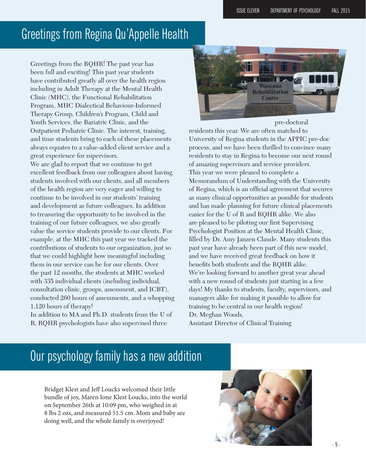### Greetings from Regina Qu'Appelle Health

Greetings from the RQHR! The past year has been full and exciting! This past year students have contributed greatly all over the health region including in Adult Therapy at the Mental Health Clinic (MHC), the Functional Rehabilitation Program, MHC Dialectical Behaviour-Informed Therapy Group, Children's Program, Child and Youth Services, the Bariatric Clinic, and the Outpatient Pediatric Clinic. The interest, training, and time students bring to each of these placements always equates to a value-added client service and a great experience for supervisors.

We are glad to report that we continue to get excellent feedback from our colleagues about having students involved with our clients, and all members of the health region are very eager and willing to continue to be involved in our students' training and development as future colleagues. In addition to treasuring the opportunity to be involved in the training of our future colleagues, we also greatly value the service students provide to our clients. For example, at the MHC this past year we tracked the contributions of students to our organization, just so that we could highlight how meaningful including them in our service can be for our clients. Over the past 12 months, the students at MHC worked with 335 individual clients (including individual, consultation clinic, groups, assessment, and ICBT), conducted 260 hours of assessments, and a whopping 1,120 hours of therapy!

In addition to MA and Ph.D. students from the U of R, RQHR psychologists have also supervised three



residents this year. We are often matched to University of Regina students in the APPIC pre-doc process, and we have been thrilled to convince many residents to stay in Regina to become our next round of amazing supervisors and service providers. This year we were pleased to complete a Memorandum of Understanding with the University of Regina, which is an official agreement that secures as many clinical opportunities as possible for students and has made planning for future clinical placements easier for the U of R and RQHR alike. We also are pleased to be piloting our first Supervising Psychologist Position at the Mental Health Clinic, filled by Dr. Amy Janzen Claude. Many students this past year have already been part of this new model, and we have received great feedback on how it benefits both students and the RQHR alike. We're looking forward to another great year ahead with a new round of students just starting in a few days! My thanks to students, faculty, supervisors, and managers alike for making it possible to allow for training to be central in our health region! Dr. Meghan Woods, Assistant Director of Clinical Training

### Our psychology family has a new addition

Bridget Klest and Jeff Loucks welcomed their little bundle of joy, Maren Ione Klest Loucks, into the world on September 26th at 10:09 pm, who weighed in at 8 lbs 2 ozs, and measured 51.5 cm. Mom and baby are doing well, and the whole family is overjoyed!

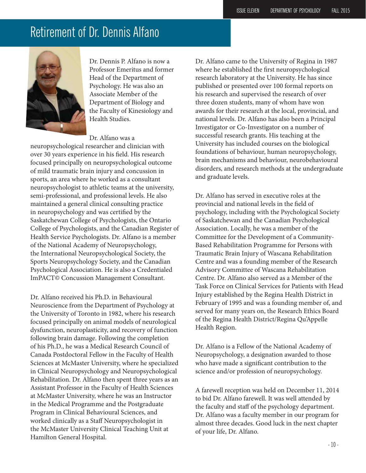### Retirement of Dr. Dennis Alfano



Dr. Dennis P. Alfano is now a Professor Emeritus and former Head of the Department of Psychology. He was also an Associate Member of the Department of Biology and the Faculty of Kinesiology and Health Studies.

#### Dr. Alfano was a

neuropsychological researcher and clinician with over 30 years experience in his field. His research focused principally on neuropsychological outcome of mild traumatic brain injury and concussion in sports, an area where he worked as a consultant neuropsychologist to athletic teams at the university, semi-professional, and professional levels. He also maintained a general clinical consulting practice in neuropsychology and was certified by the Saskatchewan College of Psychologists, the Ontario College of Psychologists, and the Canadian Register of Health Service Psychologists. Dr. Alfano is a member of the National Academy of Neuropsychology, the International Neuropsychological Society, the Sports Neuropsychology Society, and the Canadian Psychological Association. He is also a Credentialed ImPACT© Concussion Management Consultant.

Dr. Alfano received his Ph.D. in Behavioural Neuroscience from the Department of Psychology at the University of Toronto in 1982, where his research focused principally on animal models of neurological dysfunction, neuroplasticity, and recovery of function following brain damage. Following the completion of his Ph.D., he was a Medical Research Council of Canada Postdoctoral Fellow in the Faculty of Health Sciences at McMaster University, where he specialized in Clinical Neuropsychology and Neuropsychological Rehabilitation. Dr. Alfano then spent three years as an Assistant Professor in the Faculty of Health Sciences at McMaster University, where he was an Instructor in the Medical Programme and the Postgraduate Program in Clinical Behavioural Sciences, and worked clinically as a Staff Neuropsychologist in the McMaster University Clinical Teaching Unit at Hamilton General Hospital.

Dr. Alfano came to the University of Regina in 1987 where he established the first neuropsychological research laboratory at the University. He has since published or presented over 100 formal reports on his research and supervised the research of over three dozen students, many of whom have won awards for their research at the local, provincial, and national levels. Dr. Alfano has also been a Principal Investigator or Co-Investigator on a number of successful research grants. His teaching at the University has included courses on the biological foundations of behaviour, human neuropsychology, brain mechanisms and behaviour, neurobehavioural disorders, and research methods at the undergraduate and graduate levels.

Dr. Alfano has served in executive roles at the provincial and national levels in the field of psychology, including with the Psychological Society of Saskatchewan and the Canadian Psychological Association. Locally, he was a member of the Committee for the Development of a Community-Based Rehabilitation Programme for Persons with Traumatic Brain Injury of Wascana Rehabilitation Centre and was a founding member of the Research Advisory Committee of Wascana Rehabilitation Centre. Dr. Alfano also served as a Member of the Task Force on Clinical Services for Patients with Head Injury established by the Regina Health District in February of 1995 and was a founding member of, and served for many years on, the Research Ethics Board of the Regina Health District/Regina Qu'Appelle Health Region.

Dr. Alfano is a Fellow of the National Academy of Neuropsychology, a designation awarded to those who have made a significant contribution to the science and/or profession of neuropsychology.

A farewell reception was held on December 11, 2014 to bid Dr. Alfano farewell. It was well attended by the faculty and staff of the psychology department. Dr. Alfano was a faculty member in our program for almost three decades. Good luck in the next chapter of your life, Dr. Alfano.